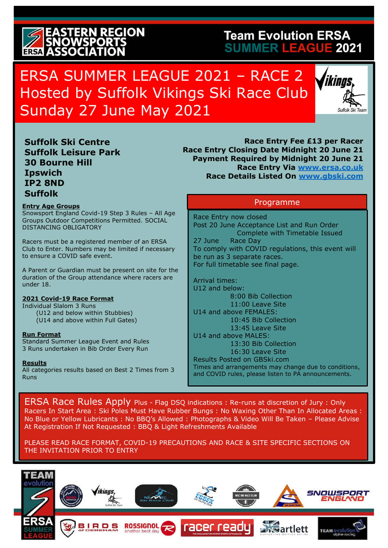# **ERN REGION**

## **Team Evolution ERSA SUMMER LEAGUE 2021**

## ERSA SUMMER LEAGUE 2021 – RACE 2 Hosted by Suffolk Vikings Ski Race Club Sunday 27 June May 2021



**Suffolk Ski Centre Suffolk Leisure Park [30 Bourne](https://www.bing.com/maps?&ty=18&q=30%20Bourne%20Hill%2C%20Ipswich%20IP2%208ND&ppois=52.0312907_1.1495204_30%20Bourne%20Hill%2C%20Ipswich%20IP2%208ND_~&cp=52.031291~1.14952&v=2&sV=1&FORM=MIRE&qpvt=30%2c+Bourne+Hill%2c+Ipswich+IP2+8+) Hill [Ipswich](https://www.bing.com/maps?&ty=18&q=30%20Bourne%20Hill%2C%20Ipswich%20IP2%208ND&ppois=52.0312907_1.1495204_30%20Bourne%20Hill%2C%20Ipswich%20IP2%208ND_~&cp=52.031291~1.14952&v=2&sV=1&FORM=MIRE&qpvt=30%2c+Bourne+Hill%2c+Ipswich+IP2+8+)  [IP2 8ND](https://www.bing.com/maps?&ty=18&q=30%20Bourne%20Hill%2C%20Ipswich%20IP2%208ND&ppois=52.0312907_1.1495204_30%20Bourne%20Hill%2C%20Ipswich%20IP2%208ND_~&cp=52.031291~1.14952&v=2&sV=1&FORM=MIRE&qpvt=30%2c+Bourne+Hill%2c+Ipswich+IP2+8+)  Suffolk**

#### **Entry Age Groups**

Snowsport England Covid-19 Step 3 Rules – All Age Groups Outdoor Competitions Permitted. SOCIAL DISTANCING OBLIGATORY

Racers must be a registered member of an ERSA Club to Enter. Numbers may be limited if necessary to ensure a COVID safe event.

A Parent or Guardian must be present on site for the duration of the Group attendance where racers are under 18.

### **2021 Covid-19 Race Format**

Individual Slalom 3 Runs (U12 and below within Stubbies) (U14 and above within Full Gates)

### **Run Format**

Standard Summer League Event and Rules 3 Runs undertaken in Bib Order Every Run

### **Results**

All categories results based on Best 2 Times from 3 Runs

**Race Entry Fee £13 per Racer Race Entry Closing Date Midnight 20 June 21 Payment Required by Midnight 20 June 21 Race Entry Via [www.ersa.co.uk](http://www.ersa.co.uk/) Race Details Listed On [www.gbski.com](http://www.gbski.com/)** 

## Programme

Race Entry now closed Post 20 June Acceptance List and Run Order Complete with Timetable Issued 27 June Race Day To comply with COVID regulations, this event will be run as 3 separate races. For full timetable see final page.

Arrival times: U12 and below: 8:00 Bib Collection 11:00 Leave Site U14 and above FEMALES: 10:45 Bib Collection 13:45 Leave Site U14 and above MALES: 13:30 Bib Collection 16:30 Leave Site Results Posted on GBSki.com Times and arrangements may change due to conditions, and COVID rules, please listen to PA announcements.

ERSA Race Rules Apply Plus - Flag DSQ indications : Re-runs at discretion of Jury : Only Racers In Start Area : Ski Poles Must Have Rubber Bungs : No Waxing Other Than In Allocated Areas : No Blue or Yellow Lubricants : No BBQ's Allowed : Photographs & Video Will Be Taken – Please Advise At Registration If Not Requested : BBQ & Light Refreshments Available

PLEASE READ RACE FORMAT, COVID-19 PRECAUTIONS AND RACE & SITE SPECIFIC SECTIONS ON THE INVITATION PRIOR TO ENTRY

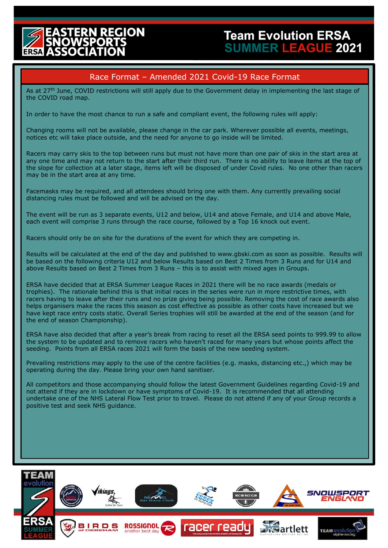## EGION

## **Team Evolution ERSA SUMMER LEAGUE 2021**

## Race Format – Amended 2021 Covid-19 Race Format

As at 27<sup>th</sup> June, COVID restrictions will still apply due to the Government delay in implementing the last stage of the COVID road map.

In order to have the most chance to run a safe and compliant event, the following rules will apply:

Changing rooms will not be available, please change in the car park. Wherever possible all events, meetings, notices etc will take place outside, and the need for anyone to go inside will be limited.

Racers may carry skis to the top between runs but must not have more than one pair of skis in the start area at any one time and may not return to the start after their third run. There is no ability to leave items at the top of the slope for collection at a later stage, items left will be disposed of under Covid rules. No one other than racers may be in the start area at any time.

Facemasks may be required, and all attendees should bring one with them. Any currently prevailing social distancing rules must be followed and will be advised on the day.

The event will be run as 3 separate events, U12 and below, U14 and above Female, and U14 and above Male, each event will comprise 3 runs through the race course, followed by a Top 16 knock out event.

Racers should only be on site for the durations of the event for which they are competing in.

Results will be calculated at the end of the day and published to [www.gbski.com](http://www.gbski.com/) as soon as possible. Results will be based on the following criteria U12 and below Results based on Best 2 Times from 3 Runs and for U14 and above Results based on Best 2 Times from 3 Runs – this is to assist with mixed ages in Groups.

ERSA have decided that at ERSA Summer League Races in 2021 there will be no race awards (medals or trophies). The rationale behind this is that initial races in the series were run in more restrictive times, with racers having to leave after their runs and no prize giving being possible. Removing the cost of race awards also helps organisers make the races this season as cost effective as possible as other costs have increased but we have kept race entry costs static. Overall Series trophies will still be awarded at the end of the season (and for the end of season Championship).

ERSA have also decided that after a year's break from racing to reset all the ERSA seed points to 999.99 to allow the system to be updated and to remove racers who haven't raced for many years but whose points affect the seeding. Points from all ERSA races 2021 will form the basis of the new seeding system.

Prevailing restrictions may apply to the use of the centre facilities (e.g. masks, distancing etc.,) which may be operating during the day. Please bring your own hand sanitiser.

All competitors and those accompanying should follow the latest Government Guidelines regarding Covid-19 and not attend if they are in lockdown or have symptoms of Covid-19. It is recommended that all attending undertake one of the NHS Lateral Flow Test prior to travel. Please do not attend if any of your Group records a positive test and seek NHS guidance.

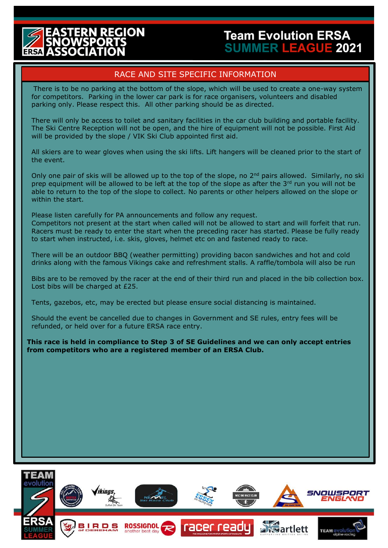## **EGION**

## **Team Evolution ERSA SUMMER LEAGUE 2021**

## RACE AND SITE SPECIFIC INFORMATION

There is to be no parking at the bottom of the slope, which will be used to create a one-way system for competitors. Parking in the lower car park is for race organisers, volunteers and disabled parking only. Please respect this. All other parking should be as directed.

There will only be access to toilet and sanitary facilities in the car club building and portable facility. The Ski Centre Reception will not be open, and the hire of equipment will not be possible. First Aid will be provided by the slope / VIK Ski Club appointed first aid.

All skiers are to wear gloves when using the ski lifts. Lift hangers will be cleaned prior to the start of the event.

Only one pair of skis will be allowed up to the top of the slope, no  $2<sup>nd</sup>$  pairs allowed. Similarly, no ski prep equipment will be allowed to be left at the top of the slope as after the  $3<sup>rd</sup>$  run you will not be able to return to the top of the slope to collect. No parents or other helpers allowed on the slope or within the start.

Please listen carefully for PA announcements and follow any request.

Competitors not present at the start when called will not be allowed to start and will forfeit that run. Racers must be ready to enter the start when the preceding racer has started. Please be fully ready to start when instructed, i.e. skis, gloves, helmet etc on and fastened ready to race.

There will be an outdoor BBQ (weather permitting) providing bacon sandwiches and hot and cold drinks along with the famous Vikings cake and refreshment stalls. A raffle/tombola will also be run

Bibs are to be removed by the racer at the end of their third run and placed in the bib collection box. Lost bibs will be charged at £25.

Tents, gazebos, etc, may be erected but please ensure social distancing is maintained.

Should the event be cancelled due to changes in Government and SE rules, entry fees will be refunded, or held over for a future ERSA race entry.

**This race is held in compliance to Step 3 of SE Guidelines and we can only accept entries from competitors who are a registered member of an ERSA Club.**